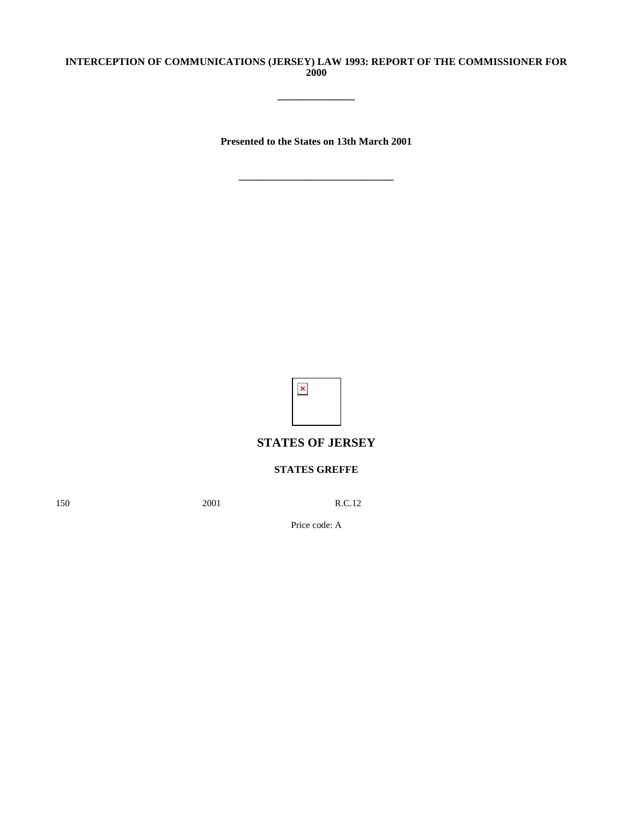### **INTERCEPTION OF COMMUNICATIONS (JERSEY) LAW 1993: REPORT OF THE COMMISSIONER FOR 2000**

**\_\_\_\_\_\_\_\_\_\_\_\_\_\_\_**

**Presented to the States on 13th March 2001**



# **STATES OF JERSEY**

## **STATES GREFFE**

150 2001 R.C.12

Price code: A